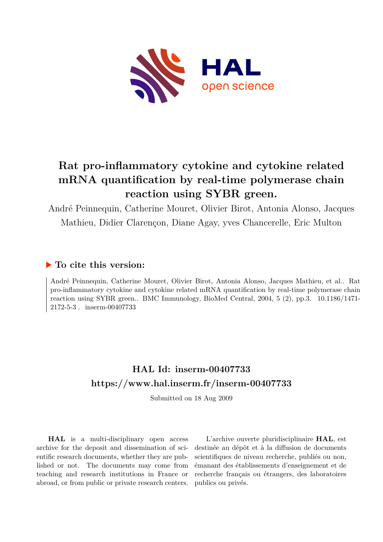

# **Rat pro-inflammatory cytokine and cytokine related mRNA quantification by real-time polymerase chain reaction using SYBR green.**

André Peinnequin, Catherine Mouret, Olivier Birot, Antonia Alonso, Jacques Mathieu, Didier Clarençon, Diane Agay, yves Chancerelle, Eric Multon

## **To cite this version:**

André Peinnequin, Catherine Mouret, Olivier Birot, Antonia Alonso, Jacques Mathieu, et al.. Rat pro-inflammatory cytokine and cytokine related mRNA quantification by real-time polymerase chain reaction using SYBR green.. BMC Immunology, BioMed Central, 2004, 5 (2), pp.3. 10.1186/1471- $2172-5-3$ . inserm-00407733

# **HAL Id: inserm-00407733 <https://www.hal.inserm.fr/inserm-00407733>**

Submitted on 18 Aug 2009

**HAL** is a multi-disciplinary open access archive for the deposit and dissemination of scientific research documents, whether they are published or not. The documents may come from teaching and research institutions in France or abroad, or from public or private research centers.

L'archive ouverte pluridisciplinaire **HAL**, est destinée au dépôt et à la diffusion de documents scientifiques de niveau recherche, publiés ou non, émanant des établissements d'enseignement et de recherche français ou étrangers, des laboratoires publics ou privés.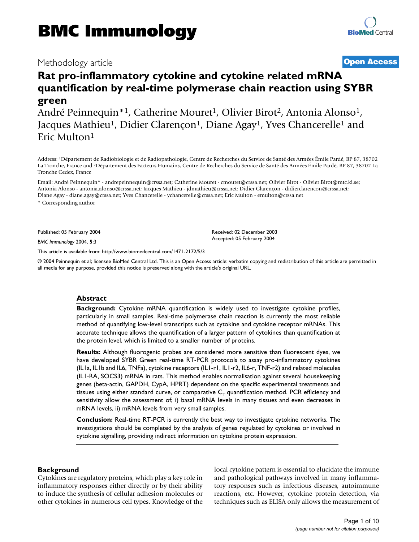## Methodology article **Contract Contract Contract Contract Contract Contract Contract Contract Contract Contract Contract Contract Contract Contract Contract Contract Contract Contract Contract Contract Contract Contract Con**

# **Rat pro-inflammatory cytokine and cytokine related mRNA quantification by real-time polymerase chain reaction using SYBR green**

André Peinnequin<sup>\*1</sup>, Catherine Mouret<sup>1</sup>, Olivier Birot<sup>2</sup>, Antonia Alonso<sup>1</sup>, Jacques Mathieu<sup>1</sup>, Didier Clarençon<sup>1</sup>, Diane Agay<sup>1</sup>, Yves Chancerelle<sup>1</sup> and Eric Multon<sup>1</sup>

Address: <sup>1</sup>Département de Radiobiologie et de Radiopathologie, Centre de Recherches du Service de Santé des Armées Émile Pardé, BP 87, 38702 La Tronche, France and <sup>2</sup>Département des Facteurs Humains, Centre de Recherches du Service de Santé des Armées Émile Pardé, BP 87, 38702 La Tronche Cedex, France

Email: André Peinnequin\* - andrepeinnequin@crssa.net; Catherine Mouret - cmouret@crssa.net; Olivier Birot - Olivier.Birot@mtc.ki.se; Antonia Alonso - antonia.alonso@crssa.net; Jacques Mathieu - jdmathieu@crssa.net; Didier Clarençon - didierclarencon@crssa.net; Diane Agay - diane.agay@crssa.net; Yves Chancerelle - ychancerelle@crssa.net; Eric Multon - emulton@crssa.net \* Corresponding author

Published: 05 February 2004

*BMC Immunology* 2004, **5**:3

[This article is available from: http://www.biomedcentral.com/1471-2172/5/3](http://www.biomedcentral.com/1471-2172/5/3)

© 2004 Peinnequin et al; licensee BioMed Central Ltd. This is an Open Access article: verbatim copying and redistribution of this article are permitted in all media for any purpose, provided this notice is preserved along with the article's original URL.

Received: 02 December 2003 Accepted: 05 February 2004

#### **Abstract**

**Background:** Cytokine mRNA quantification is widely used to investigate cytokine profiles, particularly in small samples. Real-time polymerase chain reaction is currently the most reliable method of quantifying low-level transcripts such as cytokine and cytokine receptor mRNAs. This accurate technique allows the quantification of a larger pattern of cytokines than quantification at the protein level, which is limited to a smaller number of proteins.

**Results:** Although fluorogenic probes are considered more sensitive than fluorescent dyes, we have developed SYBR Green real-time RT-PCR protocols to assay pro-inflammatory cytokines (IL1a, IL1b and IL6, TNFa), cytokine receptors (IL1-r1, IL1-r2, IL6-r, TNF-r2) and related molecules (IL1-RA, SOCS3) mRNA in rats. This method enables normalisation against several housekeeping genes (beta-actin, GAPDH, CypA, HPRT) dependent on the specific experimental treatments and tissues using either standard curve, or comparative  $C_T$  quantification method. PCR efficiency and sensitivity allow the assessment of; i) basal mRNA levels in many tissues and even decreases in mRNA levels, ii) mRNA levels from very small samples.

**Conclusion:** Real-time RT-PCR is currently the best way to investigate cytokine networks. The investigations should be completed by the analysis of genes regulated by cytokines or involved in cytokine signalling, providing indirect information on cytokine protein expression.

#### **Background**

Cytokines are regulatory proteins, which play a key role in inflammatory responses either directly or by their ability to induce the synthesis of cellular adhesion molecules or other cytokines in numerous cell types. Knowledge of the local cytokine pattern is essential to elucidate the immune and pathological pathways involved in many inflammatory responses such as infectious diseases, autoimmune reactions, etc. However, cytokine protein detection, via techniques such as ELISA only allows the measurement of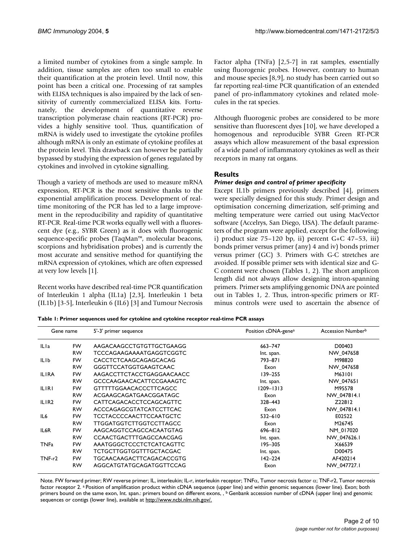a limited number of cytokines from a single sample. In addition, tissue samples are often too small to enable their quantification at the protein level. Until now, this point has been a critical one. Processing of rat samples with ELISA techniques is also impaired by the lack of sensitivity of currently commercialized ELISA kits. Fortunately, the development of quantitative reverse transcription polymerase chain reactions (RT-PCR) provides a highly sensitive tool. Thus, quantification of mRNA is widely used to investigate the cytokine profiles although mRNA is only an estimate of cytokine profiles at the protein level. This drawback can however be partially bypassed by studying the expression of genes regulated by cytokines and involved in cytokine signalling.

Though a variety of methods are used to measure mRNA expression, RT-PCR is the most sensitive thanks to the exponential amplification process. Development of realtime monitoring of the PCR has led to a large improvement in the reproducibility and rapidity of quantitative RT-PCR. Real-time PCR works equally well with a fluorescent dye (e.g., SYBR Green) as it does with fluorogenic sequence-specific probes (TaqMan™, molecular beacons, scorpions and hybridisation probes) and is currently the most accurate and sensitive method for quantifying the mRNA expression of cytokines, which are often expressed at very low levels [1].

Recent works have described real-time PCR quantification of Interleukin 1 alpha (IL1a) [2,3], Interleukin 1 beta (IL1b) [3-5], Interleukin 6 (IL6) [3] and Tumour Necrosis Factor alpha (TNFa) [2,5-7] in rat samples, essentially using fluorogenic probes. However, contrary to human and mouse species [8,9], no study has been carried out so far reporting real-time PCR quantification of an extended panel of pro-inflammatory cytokines and related molecules in the rat species.

Although fluorogenic probes are considered to be more sensitive than fluorescent dyes [10], we have developed a homogenous and reproducible SYBR Green RT-PCR assays which allow measurement of the basal expression of a wide panel of inflammatory cytokines as well as their receptors in many rat organs.

### **Results**

#### *Primer design and control of primer specificity*

Except IL1b primers previously described [4], primers were specially designed for this study. Primer design and optimisation concerning dimerization, self-priming and melting temperature were carried out using MacVector software (Accelrys, San Diego, USA). The default parameters of the program were applied, except for the following; i) product size  $75-120$  bp, ii) percent  $G+C$  47-53, iii) bonds primer versus primer (any) 4 and iv) bonds primer versus primer (GC) 3. Primers with G-C stretches are avoided. If possible primer sets with identical size and G-C content were chosen (Tables 1, 2). The short amplicon length did not always allow designing intron-spanning primers. Primer sets amplifying genomic DNA are pointed out in Tables 1, 2. Thus, intron-specific primers or RTminus controls were used to ascertain the absence of

|  |  | Table I: Primer sequences used for cytokine and cytokine receptor real-time PCR assays |  |
|--|--|----------------------------------------------------------------------------------------|--|
|  |  |                                                                                        |  |

| Gene name         |           | 5'-3' primer sequence           | Position cDNA-gene <sup>a</sup> | Accession Number <sup>b</sup> |
|-------------------|-----------|---------------------------------|---------------------------------|-------------------------------|
| ILI <sub>a</sub>  | FW.       | AAGACAAGCCTGTGTTGCTGAAGG        | 663-747                         | D00403                        |
|                   | <b>RW</b> | TCCCAGAAGAAAATGAGGTCGGTC        | Int. span.                      | NW 047658                     |
| <b>ILIb</b>       | <b>FW</b> | CACCTCTCAAGCAGAGCACAG           | 793-871                         | M98820                        |
|                   | <b>RW</b> | <b>GGGTTCCATGGTGAAGTCAAC</b>    | Exon                            | NW 047658                     |
| <b>ILIRA</b>      | <b>FW</b> | AAGACCTTCTACCTGAGGAACAACC       | 139-255                         | M63101                        |
|                   | <b>RW</b> | <b>GCCCAAGAACACATTCCGAAAGTC</b> | Int. span.                      | NW 047651                     |
| <b>ILIRI</b>      | <b>FW</b> | <b>GTTTTTGGAACACCCTTCAGCC</b>   | $1209 - 1313$                   | M95578                        |
|                   | <b>RW</b> | ACGAAGCAGATGAACGGATAGC          | Exon                            | NW 047814.1                   |
| ILIR <sub>2</sub> | FW        | <b>CATTCAGACACCTCCAGCAGTTC</b>  | 328-443                         | Z22812                        |
|                   | <b>RW</b> | <b>ACCCAGAGCGTATCATCCTTCAC</b>  | Exon                            | NW 047814.1                   |
| IL <sub>6</sub>   | FW        | TCCTACCCCAACTTCCAATGCTC         | $532 - 610$                     | E02522                        |
|                   | <b>RW</b> | TTGGATGGTCTTGGTCCTTAGCC         | Exon                            | M26745                        |
| IL6R              | <b>FW</b> | AAGCAGGTCCAGCCACAATGTAG         | 696-812                         | NM 017020                     |
|                   | <b>RW</b> | CCAACTGACTTTGAGCCAACGAG         | Int. span.                      | NW 047626.1                   |
| TNFa              | FW        | AAATGGGCTCCCTCTCATCAGTTC        | 195-305                         | X66539                        |
|                   | <b>RW</b> | TCTGCTTGGTGGTTTGCTACGAC         | Int. span.                      | D00475                        |
| TNF-r2            | <b>FW</b> | TGCAACAAGACTTCAGACACCGTG        | 142–224                         | AF420214                      |
|                   | <b>RW</b> | AGGCATGTATGCAGATGGTTCCAG        | Exon                            | NW 047727.1                   |

Note. FW forward primer; RW reverse primer; IL, interleukin; IL-r, interleukin receptor; TNFα, Tumor necrosis factor α; TNF-r2, Tumor necrosis factor receptor 2. a Position of amplification product within cDNA sequence (upper line) and within genomic sequences (lower line). Exon; both primers bound on the same exon, Int. span.: primers bound on different exons, , <sup>b</sup> Genbank accession number of cDNA (upper line) and genomic sequences or contigs (lower line), available at <http://www.ncbi.nlm.nih.gov/.>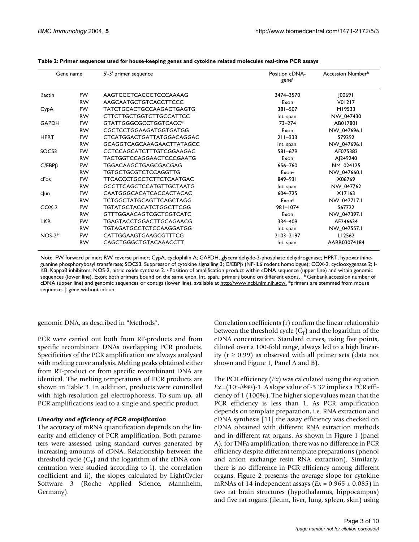| Gene name     |           | 5'-3' primer sequence           | Position cDNA-<br>genea | Accession Number <sup>b</sup> |
|---------------|-----------|---------------------------------|-------------------------|-------------------------------|
| $\beta$ actin | <b>FW</b> | AAGTCCCTCACCCTCCCAAAAG          | 3474-3570               | 0069                          |
|               | <b>RW</b> | AAGCAATGCTGTCACCTTCCC           | Exon                    | V01217                        |
| CypA          | FW        | TATCTGCACTGCCAAGACTGAGTG        | 381-507                 | M19533                        |
|               | <b>RW</b> | <b>CTTCTTGCTGGTCTTGCCATTCC</b>  | Int. span.              | NW 047430                     |
| <b>GAPDH</b>  | <b>FW</b> | GTATTGGGCGCCTGGTCACC*           | $73 - 274$              | AB017801                      |
|               | <b>RW</b> | CGCTCCTGGAAGATGGTGATGG          | Exon                    | NW_047696.1                   |
| <b>HPRT</b>   | <b>FW</b> | CTCATGGACTGATTATGGACAGGAC       | $211 - 333$             | S79292                        |
|               | <b>RW</b> | GCAGGTCAGCAAAGAACTTATAGCC       | Int. span.              | NW 047696.1                   |
| SOCS3         | <b>FW</b> | CCTCCAGCATCTTTGTCGGAAGAC        | 581-679                 | AF075383                      |
|               | <b>RW</b> | TACTGGTCCAGGAACTCCCGAATG        | Exon                    | A 249240                      |
| $C/EBP\beta$  | <b>FW</b> | TGGACAAGCTGAGCGACGAG            | 656-760                 | NM_024125                     |
|               | <b>RW</b> | <b>TGTGCTGCGTCTCCAGGTTG</b>     | Exon <sup>‡</sup>       | NW 047660.1                   |
| cFos          | <b>FW</b> | <b>TTCACCCTGCCTCTTCTCAATGAC</b> | $849 - 931$             | X06769                        |
|               | <b>RW</b> | <b>GCCTTCAGCTCCATGTTGCTAATG</b> | Int. span.              | NW 047762                     |
| c un          | <b>FW</b> | CAATGGGCACATCACCACTACAC         | 604-725                 | X17163                        |
|               | <b>RW</b> | TCTGGCTATGCAGTTCAGCTAGG         | Exon <sup>‡</sup>       | NW_047717.1                   |
| $COX-2$       | <b>FW</b> | TGTATGCTACCATCTGGCTTCGG         | $981 - 1074$            | S67722                        |
|               | <b>RW</b> | <b>GTTTGGAACAGTCGCTCGTCATC</b>  | Exon                    | NW 047397.1                   |
| I-KB          | <b>FW</b> | TGAGTACCTGGACTTGCAGAACG         | 334-409                 | AF246634                      |
|               | <b>RW</b> | TGTAGATGCCTCTCCAAGGATGG         | Int. span.              | NW_047557.1                   |
| $NOS-2*$      | <b>FW</b> | CATTGGAAGTGAAGCGTTTCG           | 2103-2197               | LI2562                        |
|               | <b>RW</b> | CAGCTGGGCTGTACAAACCTT           | Int. span.              | AABR03074184                  |

**Table 2: Primer sequences used for house-keeping genes and cytokine related molecules real-time PCR assays**

Note. FW forward primer; RW reverse primer; CypA, cyclophilin A; GAPDH, glyceraldehyde-3-phosphate dehydrogenase; HPRT, hypoxanthineguanine phosphorybosyl transferase; SOCS3, Suppressor of cytokine signalling 3; C/EBPβ (NF-IL6 rodent homologue); COX-2, cyclooxygenase 2; I-KB, KappaB inhibitors; NOS-2, nitric oxide synthase 2. <sup>a</sup> Position of amplification product within cDNA sequence (upper line) and within genomic sequences (lower line). Exon; both primers bound on the same exon, Int. span.: primers bound on different exons, , <sup>b</sup>Genbank accession number of cDNA (upper line) and genomic sequences or contigs (lower line), available at<http://www.ncbi.nlm.nih.gov/.> \*primers are stemmed from mouse sequence. ‡ gene without intron.

genomic DNA, as described in "Methods".

PCR were carried out both from RT-products and from specific recombinant DNAs overlapping PCR products. Specificities of the PCR amplification are always analysed with melting curve analysis. Melting peaks obtained either from RT-product or from specific recombinant DNA are identical. The melting temperatures of PCR products are shown in Table [3.](#page-4-0) In addition, products were controlled with high-resolution gel electrophoresis. To sum up, all PCR amplifications lead to a single and specific product.

#### *Linearity and efficiency of PCR amplification*

The accuracy of mRNA quantification depends on the linearity and efficiency of PCR amplification. Both parameters were assessed using standard curves generated by increasing amounts of cDNA. Relationship between the threshold cycle  $(C_T)$  and the logarithm of the cDNA concentration were studied according to i), the correlation coefficient and ii), the slopes calculated by LightCycler Software 3 (Roche Applied Science, Mannheim, Germany).

Correlation coefficients (r) confirm the linear relationship between the threshold cycle  $(C_T)$  and the logarithm of the cDNA concentration. Standard curves, using five points, diluted over a 100-fold range, always led to a high linearity ( $r$  ≥ 0.99) as observed with all primer sets (data not shown and Figure [1](#page-5-0), Panel A and B).

The PCR efficiency (*Ex*) was calculated using the equation *Ex* =(10-1/slope)-1. A slope value of -3.32 implies a PCR efficiency of 1 (100%). The higher slope values mean that the PCR efficiency is less than 1. As PCR amplification depends on template preparation, i.e. RNA extraction and cDNA synthesis [11] the assay efficiency was checked on cDNA obtained with different RNA extraction methods and in different rat organs. As shown in Figure [1](#page-5-0) (panel A), for TNFa amplification, there was no difference in PCR efficiency despite different template preparations (phenol and anion exchange resin RNA extraction). Similarly, there is no difference in PCR efficiency among different organs. Figure 2 presents the average slope for cytokine mRNAs of 14 independent assays ( $Ex = 0.965 \pm 0.085$ ) in two rat brain structures (hypothalamus, hippocampus) and five rat organs (ileum, liver, lung, spleen, skin) using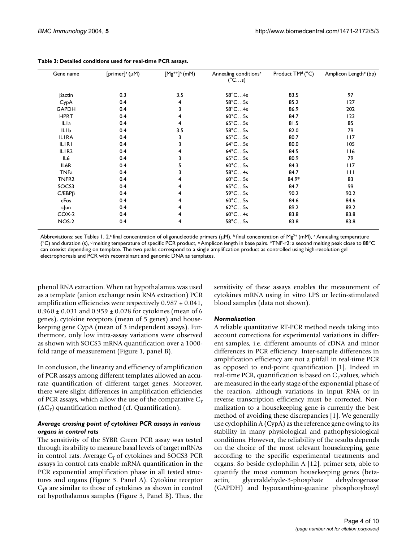| Gene name         | [primer] <sup>a</sup> ( $\mu$ M) | $[Mg^{++}]^b$ (mM) | Annealing conditions <sup>c</sup><br>$(^{\circ}Cs)$ | Product TM <sup>d</sup> (°C) | Amplicon Lengthe (bp) |
|-------------------|----------------------------------|--------------------|-----------------------------------------------------|------------------------------|-----------------------|
| $\beta$ actin     | 0.3                              | 3.5                | $58^{\circ}$ C4s                                    | 83.5                         | 97                    |
| CypA              | 0.4                              | 4                  | $58^{\circ}$ C $5s$                                 | 85.2                         | 127                   |
| <b>GAPDH</b>      | 0.4                              | 3                  | $58^{\circ}$ C4s                                    | 86.9                         | 202                   |
| <b>HPRT</b>       | 0.4                              | 4                  | $60^{\circ}$ C5s                                    | 84.7                         | 123                   |
| ILIa              | 0.4                              | 4                  | $65^{\circ}$ C5s                                    | 81.5                         | 85                    |
| <b>ILIb</b>       | 0.4                              | 3.5                | $58^{\circ}$ C $5s$                                 | 82.0                         | 79                    |
| <b>ILIRA</b>      | 0.4                              | 3                  | $65^{\circ}$ C5s                                    | 80.7                         | 117                   |
| <b>ILIRI</b>      | 0.4                              | 3                  | $64^{\circ}$ C5s                                    | 80.0                         | 105                   |
| ILIR <sub>2</sub> | 0.4                              | 4                  | $64^{\circ}$ C5s                                    | 84.5                         | 116                   |
| IL6               | 0.4                              | 3                  | $65^{\circ}$ C5s                                    | 80.9                         | 79                    |
| IL6R              | 0.4                              |                    | $60^{\circ}$ C5s                                    | 84.3                         | 117                   |
| <b>TNFa</b>       | 0.4                              |                    | $58^{\circ}$ C4s                                    | 84.7                         | $\mathbf{H}$          |
| TNFR <sub>2</sub> | 0.4                              | 4                  | $60^{\circ}$ C5s                                    | $84.9*$                      | 83                    |
| SOCS3             | 0.4                              | 4                  | $65^{\circ}$ C5s                                    | 84.7                         | 99                    |
| $C/EBP\beta$      | 0.4                              | 4                  | $59^{\circ}$ C $5s$                                 | 90.2                         | 90.2                  |
| cFos              | 0.4                              | 4                  | $60^{\circ}$ C5s                                    | 84.6                         | 84.6                  |
| cJun              | 0.4                              | 4                  | $62^{\circ}$ C5s                                    | 89.2                         | 89.2                  |
| $COX-2$           | 0.4                              | 4                  | $60^{\circ}$ C4s                                    | 83.8                         | 83.8                  |
| <b>NOS-2</b>      | 0.4                              | 4                  | $58^{\circ}$ C $5s$                                 | 83.8                         | 83.8                  |

<span id="page-4-0"></span>**Table 3: Detailed conditions used for real-time PCR assays.**

Abbreviations: see Tables 1, 2.ª final concentration of oligonucleotide primers ( $\mu$ M), <sup>b</sup> final concentration of Mg<sup>2+</sup> (mM), <sup>c</sup> Annealing temperature (°C) and duration (s), d melting temperature of specific PCR product, e Amplicon length in base pairs. \*TNF-r2: a second melting peak close to 88°C can coexist depending on template. The two peaks correspond to a single amplification product as controlled using high-resolution gel electrophoresis and PCR with recombinant and genomic DNA as templates.

phenol RNA extraction. When rat hypothalamus was used as a template (anion exchange resin RNA extraction) PCR amplification efficiencies were respectively  $0.987 \pm 0.041$ ,  $0.960 \pm 0.031$  and  $0.959 \pm 0.028$  for cytokines (mean of 6 genes), cytokine receptors (mean of 5 genes) and housekeeping gene CypA (mean of 3 independent assays). Furthermore, only low intra-assay variations were observed as shown with SOCS3 mRNA quantification over a 1000 fold range of measurement (Figure [1](#page-5-0), panel B).

In conclusion, the linearity and efficiency of amplification of PCR assays among different templates allowed an accurate quantification of different target genes. Moreover, there were slight differences in amplification efficiencies of PCR assays, which allow the use of the comparative  $C_T$  $(ΔC<sub>T</sub>)$  quantification method (cf. Quantification).

#### *Average crossing point of cytokines PCR assays in various organs in control rats*

The sensitivity of the SYBR Green PCR assay was tested through its ability to measure basal levels of target mRNAs in control rats. Average  $C_T$  of cytokines and SOCS3 PCR assays in control rats enable mRNA quantification in the PCR exponential amplification phase in all tested structures and organs (Figure [3.](#page-6-0) Panel A). Cytokine receptor  $C_T$ s are similar to those of cytokines as shown in control rat hypothalamus samples (Figure [3,](#page-6-0) Panel B). Thus, the sensitivity of these assays enables the measurement of cytokines mRNA using in vitro LPS or lectin-stimulated blood samples (data not shown).

#### *Normalization*

A reliable quantitative RT-PCR method needs taking into account corrections for experimental variations in different samples, i.e. different amounts of cDNA and minor differences in PCR efficiency. Inter-sample differences in amplification efficiency are not a pitfall in real-time PCR as opposed to end-point quantification [1]. Indeed in real-time PCR, quantification is based on  $C_T$  values, which are measured in the early stage of the exponential phase of the reaction, although variations in input RNA or in reverse transcription efficiency must be corrected. Normalization to a housekeeping gene is currently the best method of avoiding these discrepancies [1]. We generally use cyclophilin A (CypA) as the reference gene owing to its stability in many physiological and pathophysiological conditions. However, the reliability of the results depends on the choice of the most relevant housekeeping gene according to the specific experimental treatments and organs. So beside cyclophilin A [12], primer sets, able to quantify the most common housekeeping genes (betaactin, glyceraldehyde-3-phosphate dehydrogenase (GAPDH) and hypoxanthine-guanine phosphorybosyl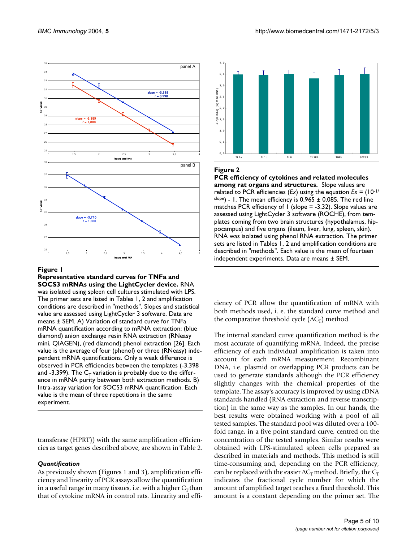<span id="page-5-0"></span>

#### Figure 1

**Representative standard curves for TNFa and SOCS3 mRNAs using the LightCycler device.** RNA was isolated using spleen cell cultures stimulated with LPS. The primer sets are listed in Tables 1, 2 and amplification conditions are described in "methods". Slopes and statistical value are assessed using LightCycler 3 software. Data are means ± SEM. A) Variation of standard curve for TNFa mRNA quantification according to mRNA extraction: (blue diamond) anion exchange resin RNA extraction (RNeasy mini, QIAGEN), (red diamond) phenol extraction [26]. Each value is the average of four (phenol) or three (RNeasy) independent mRNA quantifications. Only a weak difference is observed in PCR efficiencies between the templates (-3.398 and -3.399). The  $C_T$  variation is probably due to the difference in mRNA purity between both extraction methods. B) Intra-assay variation for SOCS3 mRNA quantification. Each value is the mean of three repetitions in the same experiment.

transferase (HPRT)) with the same amplification efficiencies as target genes described above, are shown in Table 2.

#### *Quantification*

As previously shown (Figures [1](#page-5-0) and [3](#page-6-0)), amplification efficiency and linearity of PCR assays allow the quantification in a useful range in many tissues, i.e. with a higher  $C<sub>T</sub>$  than that of cytokine mRNA in control rats. Linearity and effi-



#### **Figure 2**

**PCR efficiency of cytokines and related molecules among rat organs and structures.** Slope values are related to PCR efficiencies (*Ex*) using the equation *Ex* = (10-1/ slope) - 1. The mean efficiency is  $0.965 \pm 0.085$ . The red line matches PCR efficiency of 1 (slope = -3.32). Slope values are assessed using LightCycler 3 software (ROCHE), from templates coming from two brain structures (hypothalamus, hippocampus) and five organs (ileum, liver, lung, spleen, skin). RNA was isolated using phenol RNA extraction. The primer sets are listed in Tables 1, 2 and amplification conditions are described in "methods". Each value is the mean of fourteen independent experiments. Data are means ± SEM.

ciency of PCR allow the quantification of mRNA with both methods used, i. e. the standard curve method and the comparative threshold cycle  $(\Delta C_T)$  method.

The internal standard curve quantification method is the most accurate of quantifying mRNA. Indeed, the precise efficiency of each individual amplification is taken into account for each mRNA measurement. Recombinant DNA, i.e. plasmid or overlapping PCR products can be used to generate standards although the PCR efficiency slightly changes with the chemical properties of the template. The assay's accuracy is improved by using cDNA standards handled (RNA extraction and reverse transcription) in the same way as the samples. In our hands, the best results were obtained working with a pool of all tested samples. The standard pool was diluted over a 100 fold range, in a five point standard curve, centred on the concentration of the tested samples. Similar results were obtained with LPS-stimulated spleen cells prepared as described in materials and methods. This method is still time-consuming and, depending on the PCR efficiency, can be replaced with the easier  $\Delta C_T$  method. Briefly, the  $C_T$ indicates the fractional cycle number for which the amount of amplified target reaches a fixed threshold. This amount is a constant depending on the primer set. The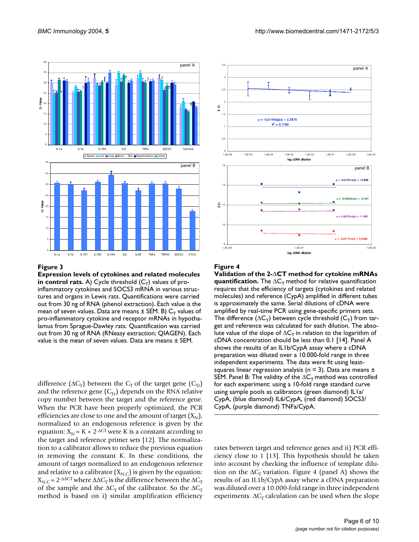<span id="page-6-0"></span>

#### **Figure 3**

**Expression levels of cytokines and related molecules**   $\boldsymbol{\mathsf{in}}$  control rats. A) Cycle threshold  $(\mathsf{C}_\mathsf{T})$  values of proinflammatory cytokines and SOCS3 mRNA in various structures and organs in Lewis rats. Quantifications were carried out from 30 ng of RNA (phenol extraction). Each value is the mean of seven values. Data are means  $\pm$  SEM. B)  ${\sf C}_{\sf T}$  values of pro-inflammatory cytokine and receptor mRNAs in hypothalamus from Sprague-Dawley rats. Quantification was carried out from 30 ng of RNA (RNeasy extraction; QIAGEN). Each value is the mean of seven values. Data are means ± SEM.

difference ( $\Delta C_T$ ) between the  $C_T$  of the target gene ( $C_{Tt}$ ) and the reference gene  $(C_T)$  depends on the RNA relative copy number between the target and the reference gene. When the PCR have been properly optimized, the PCR efficiencies are close to one and the amount of target  $(X_N)$ , normalized to an endogenous reference is given by the equation:  $X_N = K \times 2$ - $\triangle$ CT were K is a constant according to the target and reference primer sets [12]. The normalization to a calibrator allows to reduce the previous equation in removing the constant K. In these conditions, the amount of target normalized to an endogenous reference and relative to a calibrator  $(X_{N,C})$  is given by the equation:  $X_{N,C}$  = 2<sup>-∆∆CT</sup> where  $ΔΔC<sub>T</sub>$  is the difference between the  $ΔC<sub>T</sub>$ of the sample and the  $\Delta C_T$  of the calibrator. So the  $\Delta C_T$ method is based on i) similar amplification efficiency



#### Figure 4

**Validation of the 2-**∆**CT method for cytokine mRNAs quantification.** The  $\Delta C_T$  method for relative quantification requires that the efficiency of targets (cytokines and related molecules) and reference (CypA) amplified in different tubes is approximately the same. Serial dilutions of cDNA were amplified by real-time PCR using gene-specific primers sets. The difference ( $\Delta \mathsf{C}_\mathsf{T}$ ) between cycle threshold ( $\mathsf{C}_\mathsf{T}$ ) from target and reference was calculated for each dilution. The absolute value of the slope of  $\Delta C_T$  in relation to the logarithm of cDNA concentration should be less than 0.1 [14]. Panel A shows the results of an IL1b/CypA assay where a cDNA preparation was diluted over a 10.000-fold range in three independent experiments. The data were fit using leastsquares linear regression analysis ( $n = 3$ ). Data are means  $\pm$ SEM. Panel B: The validity of the  $\Delta C_T$  method was controlled for each experiment: using a 10-fold range standard curve using sample pools as calibrators (green diamond) IL1a/ CypA, (blue diamond) IL6/CypA, (red diamond) SOCS3/ CypA, (purple diamond) TNFa/CypA.

rates between target and reference genes and ii) PCR efficiency close to 1 [13]. This hypothesis should be taken into account by checking the influence of template dilution on the  $\Delta C_T$  variation. Figure 4 (panel A) shows the results of an IL1b/CypA assay where a cDNA preparation was diluted over a 10.000-fold range in three independent experiments.  $\Delta C_T$  calculation can be used when the slope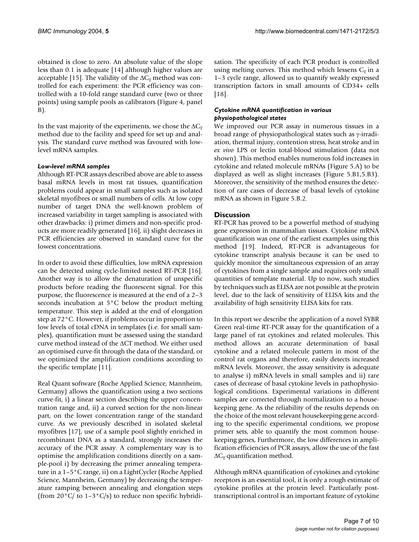obtained is close to zero. An absolute value of the slope less than 0.1 is adequate [14] although higher values are acceptable [15]. The validity of the  $\Delta C_T$  method was controlled for each experiment: the PCR efficiency was controlled with a 10-fold range standard curve (two or three points) using sample pools as calibrators (Figure 4, panel B).

In the vast majority of the experiments, we chose the  $\Delta C_T$ method due to the facility and speed for set up and analysis. The standard curve method was favoured with lowlevel mRNA samples.

#### *Low-level mRNA samples*

Although RT-PCR assays described above are able to assess basal mRNA levels in most rat tissues, quantification problems could appear in small samples such as isolated skeletal myofibres or small numbers of cells. At low copy number of target DNA the well-known problem of increased variability in target sampling is associated with other drawbacks: i) primer dimers and non-specific products are more readily generated [16], ii) slight decreases in PCR efficiencies are observed in standard curve for the lowest concentrations.

In order to avoid these difficulties, low mRNA expression can be detected using cycle-limited nested RT-PCR [16]. Another way is to allow the denaturation of unspecific products before reading the fluorescent signal. For this purpose, the fluorescence is measured at the end of a 2–3 seconds incubation at 5°C below the product melting temperature. This step is added at the end of elongation step at 72°C. However, if problems occur in proportion to low levels of total cDNA in templates (i.e. for small samples), quantification must be assessed using the standard curve method instead of the ∆CT method. We either used an optimised curve-fit through the data of the standard, or we optimized the amplification conditions according to the specific template [11].

Real Quant software (Roche Applied Science, Mannheim, Germany) allows the quantification using a two sections curve-fit, i) a linear section describing the upper concentration range and, ii) a curved section for the non-linear part, on the lower concentration range of the standard curve. As we previously described in isolated skeletal myofibres [17], use of a sample pool slightly enriched in recombinant DNA as a standard, strongly increases the accuracy of the PCR assay. A complementary way is to optimise the amplification conditions directly on a sample-pool i) by decreasing the primer annealing temperature in a 1–5°C range, ii) on a LightCycler (Roche Applied Science, Mannheim, Germany) by decreasing the temperature ramping between annealing and elongation steps (from 20 $\degree$ C/ to 1–3 $\degree$ C/s) to reduce non specific hybridisation. The specificity of each PCR product is controlled using melting curves. This method which lessens  $C_T$  in a 1–3 cycle range, allowed us to quantify weakly expressed transcription factors in small amounts of CD34+ cells [18].

#### *Cytokine mRNA quantification in various physiopathological states*

We improved our PCR assay in numerous tissues in a broad range of physiopathological states such as γ-irradiation, thermal injury, contention stress, heat stroke and in *ex vivo* LPS or lectin total-blood stimulation (data not shown). This method enables numerous fold increases in cytokine and related molecule mRNAs (Figure [5.](#page-8-0)A) to be displayed as well as slight increases (Figure [5](#page-8-0).B1,5.B3). Moreover, the sensitivity of the method ensures the detection of rare cases of decrease of basal levels of cytokine mRNA as shown in Figure [5.](#page-8-0)B.2.

#### **Discussion**

RT-PCR has proved to be a powerful method of studying gene expression in mammalian tissues. Cytokine mRNA quantification was one of the earliest examples using this method [19]. Indeed, RT-PCR is advantageous for cytokine transcript analysis because it can be used to quickly monitor the simultaneous expression of an array of cytokines from a single sample and requires only small quantities of template material. Up to now, such studies by techniques such as ELISA are not possible at the protein level, due to the lack of sensitivity of ELISA kits and the availability of high sensitivity ELISA kits for rats.

In this report we describe the application of a novel SYBR Green real-time RT-PCR assay for the quantification of a large panel of rat cytokines and related molecules. This method allows an accurate determination of basal cytokine and a related molecule pattern in most of the control rat organs and therefore, easily detects increased mRNA levels. Moreover, the assay sensitivity is adequate to analyse i) mRNA levels in small samples and ii) rare cases of decrease of basal cytokine levels in pathophysiological conditions. Experimental variations in different samples are corrected through normalization to a housekeeping gene. As the reliability of the results depends on the choice of the most relevant housekeeping gene according to the specific experimental conditions, we propose primer sets, able to quantify the most common housekeeping genes, Furthermore, the low differences in amplification efficiencies of PCR assays, allow the use of the fast  $\Delta C_T$  quantification method.

Although mRNA quantification of cytokines and cytokine receptors is an essential tool, it is only a rough estimate of cytokine profiles at the protein level. Particularly posttranscriptional control is an important feature of cytokine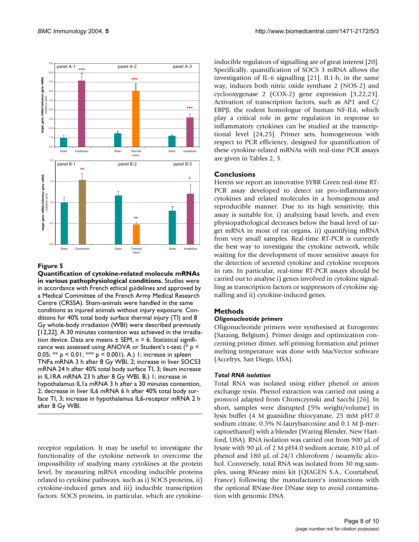<span id="page-8-0"></span>

#### Figure 5

**Quantification of cytokine-related molecule mRNAs in various pathophysiological conditions.** Studies were in accordance with French ethical guidelines and approved by a Medical Committee of the French Army Medical Research Centre (CRSSA). Sham-animals were handled in the same conditions as injured animals without injury exposure. Conditions for 40% total body surface thermal injury (TI) and 8 Gy whole-body irradiation (WBI) were described previously [12,22]. A 30 minutes contention was achieved in the irradiation device. Data are means  $\pm$  SEM, n = 6. Statistical significance was assessed using ANOVA or Student's t-test (\* p < 0.05; \*\*  $p < 0.01$ ; \*\*\*  $p < 0.001$ ). A.) 1; increase in spleen TNFa mRNA 3 h after 8 Gy WBI, 2; increase in liver SOCS3 mRNA 24 h after 40% total body surface TI, 3; ileum increase in IL1RA mRNA 23 h after 8 Gy WBI. B.) 1; increase in hypothalamus IL1a mRNA 3 h after a 30 minutes contention, 2; decrease in liver IL6 mRNA 6 h after 40% total body surface TI, 3; increase in hypothalamus IL6-receptor mRNA 2 h after 8 Gy WBI.

receptor regulation. It may be useful to investigate the functionality of the cytokine network to overcome the impossibility of studying many cytokines at the protein level, by measuring mRNA encoding inducible proteins related to cytokine pathways, such as i) SOCS proteins, ii) cytokine-induced genes and iii) inducible transcription factors. SOCS proteins, in particular, which are cytokineinducible regulators of signalling are of great interest [20]. Specifically, quantification of SOCS 3 mRNA allows the investigation of IL-6 signalling [21]. IL1-b, in the same way, induces both nitric oxide synthase 2 (NOS-2) and cyclooxygenase 2 (COX-2) gene expression [3,22,23]. Activation of transcription factors, such as AP1 and C/ EBPβ, the rodent homologue of human NF-IL6, which play a critical role in gene regulation in response to inflammatory cytokines can be studied at the transcriptional level [24,25]. Primer sets, homogeneous with respect to PCR efficiency, designed for quantification of these cytokine-related mRNAs with real-time PCR assays are given in Tables 2, [3.](#page-4-0)

### **Conclusions**

Herein we report an innovative SYBR Green real-time RT-PCR assay developed to detect rat pro-inflammatory cytokines and related molecules in a homogenous and reproducible manner. Due to its high sensitivity, this assay is suitable for, i) analyzing basal levels, and even physiopathological decreases below the basal level of target mRNA in most of rat organs, ii) quantifying mRNA from very small samples. Real-time RT-PCR is currently the best way to investigate the cytokine network, while waiting for the development of more sensitive assays for the detection of secreted cytokine and cytokine receptors in rats. In particular, real-time RT-PCR assays should be carried out to analyse i) genes involved in cytokine signalling as transcription factors or suppressors of cytokine signalling and ii) cytokine-induced genes.

### **Methods**

#### *Oligonucleotide primers*

Oligonucleotide primers were synthesised at Eurogentec (Saraing, Belgium). Primer design and optimization concerning primer dimer, self-priming formation and primer melting temperature was done with MacVector software (Accelrys, San Diego, USA).

#### *Total RNA isolation*

Total RNA was isolated using either phenol or anion exchange resin. Phenol extraction was carried out using a protocol adapted from Chomczynski and Sacchi [26]. In short, samples were disrupted (5% weight/volume) in lysis buffer (4 M guanidine thiocyanate, 25 mM pH7.0 sodium citrate, 0.5% N-laurylsarcosine and 0.1 M β-mercaptoethanol) with a blender (Waring Blender, New Hartford, USA). RNA isolation was carried out from 900 µL of lysate with 90 µL of 2 M pH4.0 sodium acetate, 810 µL of phenol and 180 µL of 24/1 chloroform / isoamylic alcohol. Conversely, total RNA was isolated from 30 mg samples, using RNeasy mini kit (QIAGEN S.A., Courtabeuf, France) following the manufacturer's instructions with the optional RNase-free DNase step to avoid contamination with genomic DNA.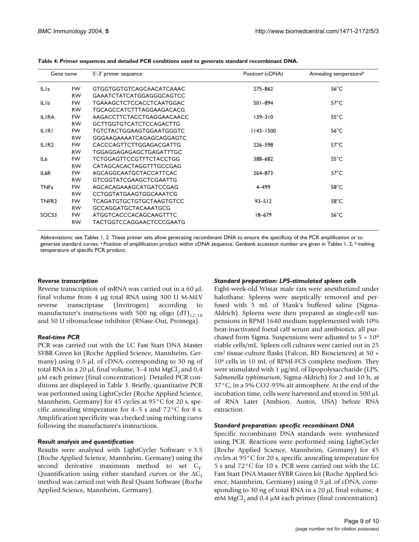| Gene name         |           | 5'-3' primer sequence           | Position <sup>a</sup> (cDNA) | Annealing temperature <sup>b</sup> |
|-------------------|-----------|---------------------------------|------------------------------|------------------------------------|
| ILI <sub>a</sub>  | FW.       | <b>GTGGTGGTGTCAGCAACATCAAAC</b> | 275-862                      | $56^{\circ}$ C                     |
|                   | <b>RW</b> | <b>GAAATCTATCATGGAGGGCAGTCC</b> |                              |                                    |
| <b>ILIb</b>       | <b>FW</b> | <b>TGAAAGCTCTCCACCTCAATGGAC</b> | $501 - 894$                  | $57^{\circ}$ C                     |
|                   | <b>RW</b> | TGCAGCCATCTTTAGGAAGACACG        |                              |                                    |
| <b>ILIRA</b>      | <b>FW</b> | AAGACCTTCTACCTGAGGAACAACC       | $139 - 310$                  | $55^{\circ}$ C                     |
|                   | <b>RW</b> | <b>GCTTGGTGTCATCTCCAGACTTG</b>  |                              |                                    |
| <b>ILIRI</b>      | <b>FW</b> | TGTCTACTGGAAGTGGAATGGGTC        | $1143 - 1500$                | $56^{\circ}$ C                     |
|                   | <b>RW</b> | GGGAAGAAAATCAGAGCAGGAGTC        |                              |                                    |
| ILIR <sub>2</sub> | <b>FW</b> | CACCCAGTTCTTGGAGACGATTG         | 226-598                      | $57^{\circ}$ C                     |
|                   | <b>RW</b> | TGGAGGAGAGAGCTGAGATTTGC         |                              |                                    |
| IL <sub>6</sub>   | <b>FW</b> | <b>TCTGGAGTTCCGTTTCTACCTGG</b>  | 388-682                      | $55^{\circ}$ C                     |
|                   | <b>RW</b> | CATAGCACACTAGGTTTGCCGAG         |                              |                                    |
| IL <sub>6</sub> R | <b>FW</b> | AGCAGGCAATGCTACCATTCAC          | 264-873                      | $57^{\circ}$ C                     |
|                   | <b>RW</b> | <b>GTCGGTATCGAAGCTCGAATTG</b>   |                              |                                    |
| <b>TNFa</b>       | <b>FW</b> | AGCACAGAAAGCATGATCCGAG          | 4-499                        | $58^{\circ}$ C                     |
|                   | <b>RW</b> | <b>CCTGGTATGAAGTGGCAAATCG</b>   |                              |                                    |
| TNFR <sub>2</sub> | <b>FW</b> | <b>TCAGATGTGCTGTGCTAAGTGTCC</b> | $93 - 512$                   | $58^{\circ}$ C                     |
|                   | <b>RW</b> | <b>GCCAGGATGCTACAAATGCG</b>     |                              |                                    |
| SOCS3             | <b>FW</b> | ATGGTCACCCACAGCAAGTTTC          | $18 - 679$                   | $56^{\circ}$ C                     |
|                   | <b>RW</b> | TACTGGTCCAGGAACTCCCGAATG        |                              |                                    |

**Table 4: Primer sequences and detailed PCR conditions used to generate standard recombinant DNA.**

Abbreviations: see Tables 1, 2. These primer sets allow generating recombinant DNA to ensure the specificity of the PCR amplification or to generate standard curves. <sup>a</sup> Position of amplification product within cDNA sequence. Genbank accession number are given in Tables 1, 2, <sup>b</sup> melting temperature of specific PCR product.

#### *Reverse transcription*

Reverse transcription of mRNA was carried out in a 60 µL final volume from 4 µg total RNA using 300 U M-MLV reverse transcriptase (Invitrogen) according to manufacturer's instructions with 500 ng oligo  $(dT)_{12-18}$ and 50 U ribonuclease inhibitor (RNase-Out, Promega).

#### *Real-time PCR*

PCR was carried out with the LC Fast Start DNA Master SYBR Green kit (Roche Applied Science, Mannheim, Germany) using 0.5 µL of cDNA, corresponding to 30 ng of total RNA in a 20  $\mu$ L final volume, 3–4 mM MgCl<sub>2</sub> and 0,4 µM each primer (final concentration). Detailed PCR conditions are displayed in Table [3](#page-4-0). Briefly, quantitative PCR was performed using LightCycler (Roche Applied Science, Mannheim, Germany) for 45 cycles at 95°C for 20 s, specific annealing temperature for 4–5 s and 72°C for 8 s. Amplification specificity was checked using melting curve following the manufacturer's instructions.

#### *Result analysis and quantification*

Results were analysed with LightCycler Software v.3.5 (Roche Applied Science, Mannheim, Germany) using the second derivative maximum method to set  $C_T$ . Quantification using either standard curves or the  $\Delta C_T$ method was carried out with Real Quant Software (Roche Applied Science, Mannheim, Germany).

#### *Standard preparation: LPS-stimulated spleen cells*

Eight-week-old Wistar male rats were anesthetized under halothane. Spleens were aseptically removed and perfused with 5 mL of Hank's buffered saline (Sigma-Aldrich). Spleens were then prepared as single-cell suspensions in RPMI 1640 medium supplemented with 10% heat-inactivated foetal calf serum and antibiotics, all purchased from Sigma. Suspensions were adjusted to  $5 \times 10^6$ viable cells/mL. Spleen cell cultures were carried out in 25  $cm<sup>2</sup>$  tissue-culture flasks (Falcon, BD Biosciences) at 50  $\times$ 10<sup>6</sup> cells in 10 mL of RPMI-FCS complete medium. They were stimulated with 1 µg/mL of lipopolysaccharide (LPS, *Salmonella typhimurium*, Sigma-Aldrich) for 2 and 10 h, at 37°C, in a 5% CO2-95% air atmosphere. At the end of the incubation time, cells were harvested and stored in 500 µL of RNA Later (Ambion, Austin, USA) before RNA extraction.

#### *Standard preparation: specific recombinant DNA*

Specific recombinant DNA standards were synthesized using PCR. Reactions were performed using LightCycler (Roche Applied Science, Mannheim, Germany) for 45 cycles at 95°C for 20 s, specific annealing temperature for 5 s and 72°C for 10 s. PCR were carried out with the LC Fast Start DNA Master SYBR Green kit (Roche Applied Science, Mannheim, Germany) using 0.5 µL of cDNA, corresponding to 30 ng of total RNA in a 20 µL final volume, 4 mM MgCl<sub>2</sub> and 0,4  $\mu$ M each primer (final concentration).